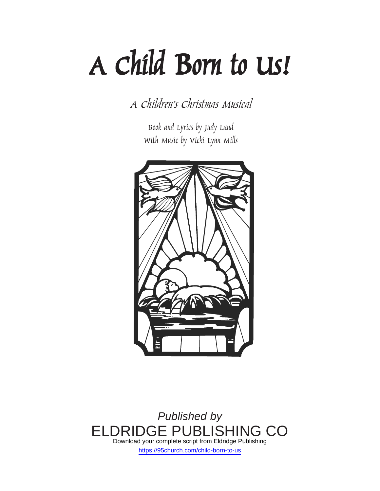# *A Child Born to Us!*

*A Children's Christmas Musical*

*Book and Lyrics by Judy Land With Music by Vicki Lynn Mills*



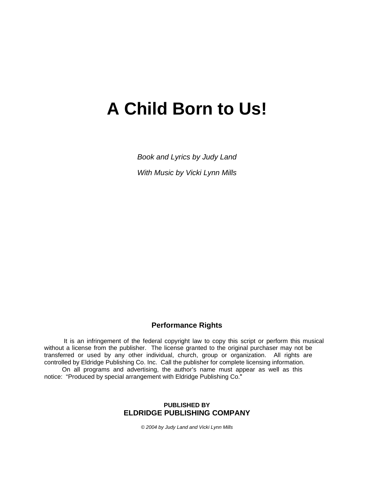# **A Child Born to Us!**

*Book and Lyrics by Judy Land With Music by Vicki Lynn Mills* 

#### **Performance Rights**

 It is an infringement of the federal copyright law to copy this script or perform this musical without a license from the publisher. The license granted to the original purchaser may not be transferred or used by any other individual, church, group or organization. All rights are controlled by Eldridge Publishing Co. Inc. Call the publisher for complete licensing information. On all programs and advertising, the author's name must appear as well as this

notice: "Produced by special arrangement with Eldridge Publishing Co."

#### **PUBLISHED BY ELDRIDGE PUBLISHING COMPANY**

*© 2004 by Judy Land and Vicki Lynn Mills*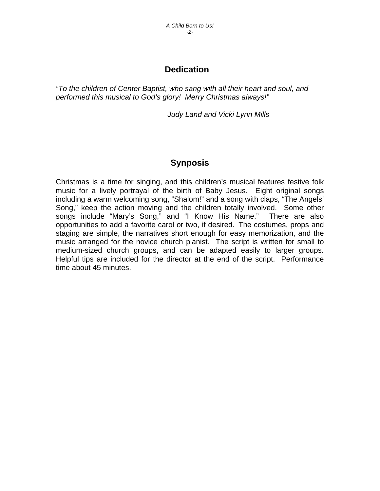# **Dedication**

*"To the children of Center Baptist, who sang with all their heart and soul, and performed this musical to God's glory! Merry Christmas always!"* 

*Judy Land and Vicki Lynn Mills* 

# **Synposis**

Christmas is a time for singing, and this children's musical features festive folk music for a lively portrayal of the birth of Baby Jesus. Eight original songs including a warm welcoming song, "Shalom!" and a song with claps, "The Angels' Song," keep the action moving and the children totally involved. Some other songs include "Mary's Song," and "I Know His Name." There are also opportunities to add a favorite carol or two, if desired. The costumes, props and staging are simple, the narratives short enough for easy memorization, and the music arranged for the novice church pianist. The script is written for small to medium-sized church groups, and can be adapted easily to larger groups. Helpful tips are included for the director at the end of the script. Performance time about 45 minutes.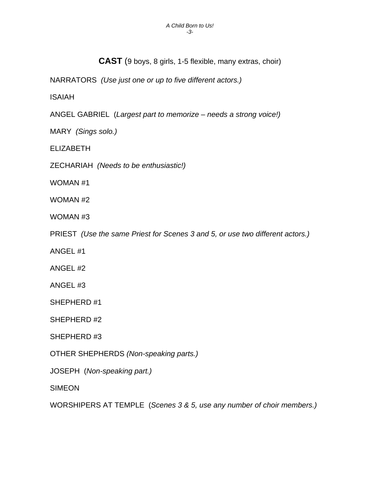**CAST** (9 boys, 8 girls, 1-5 flexible, many extras, choir)

NARRATORS *(Use just one or up to five different actors.)* 

ISAIAH

ANGEL GABRIEL (*Largest part to memorize – needs a strong voice!)* 

MARY *(Sings solo.)* 

ELIZABETH

ZECHARIAH *(Needs to be enthusiastic!)* 

WOMAN #1

WOMAN #2

WOMAN #3

PRIEST *(Use the same Priest for Scenes 3 and 5, or use two different actors.)* 

ANGEL #1

ANGEL #2

ANGEL #3

SHEPHERD #1

SHEPHERD #2

SHEPHERD #3

OTHER SHEPHERDS *(Non-speaking parts.)* 

JOSEPH (*Non-speaking part.)* 

**SIMEON** 

WORSHIPERS AT TEMPLE (*Scenes 3 & 5, use any number of choir members.)*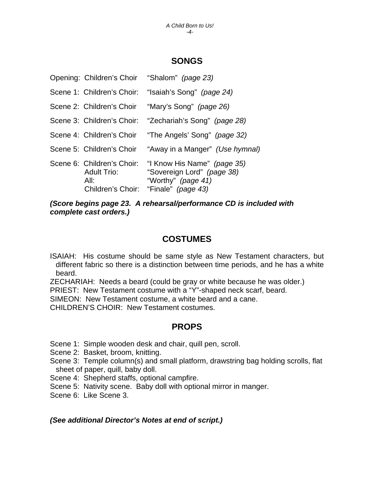## **SONGS**

|                                                          | Opening: Children's Choir "Shalom" (page 23)                                                                            |
|----------------------------------------------------------|-------------------------------------------------------------------------------------------------------------------------|
| Scene 1: Children's Choir:                               | "Isaiah's Song" (page 24)                                                                                               |
| Scene 2: Children's Choir                                | "Mary's Song" <i>(page 26)</i>                                                                                          |
| Scene 3: Children's Choir:                               | "Zechariah's Song" (page 28)                                                                                            |
| Scene 4: Children's Choir                                | "The Angels' Song" (page 32)                                                                                            |
| Scene 5: Children's Choir                                | "Away in a Manger" <i>(Use hymnal)</i>                                                                                  |
| Scene 6: Children's Choir:<br><b>Adult Trio:</b><br>All: | "I Know His Name" (page 35)<br>"Sovereign Lord" (page 38)<br>"Worthy" (page 41)<br>Children's Choir: "Finale" (page 43) |

*(Score begins page 23. A rehearsal/performance CD is included with complete cast orders.)* 

### **COSTUMES**

ISAIAH: His costume should be same style as New Testament characters, but different fabric so there is a distinction between time periods, and he has a white beard.

ZECHARIAH: Needs a beard (could be gray or white because he was older.)

PRIEST: New Testament costume with a "Y"-shaped neck scarf, beard.

SIMEON: New Testament costume, a white beard and a cane.

CHILDREN'S CHOIR: New Testament costumes.

### **PROPS**

Scene 1: Simple wooden desk and chair, quill pen, scroll.

Scene 2: Basket, broom, knitting.

- Scene 3: Temple column(s) and small platform, drawstring bag holding scrolls, flat sheet of paper, quill, baby doll.
- Scene 4: Shepherd staffs, optional campfire.
- Scene 5: Nativity scene. Baby doll with optional mirror in manger.
- Scene 6: Like Scene 3.

#### *(See additional Director's Notes at end of script.)*